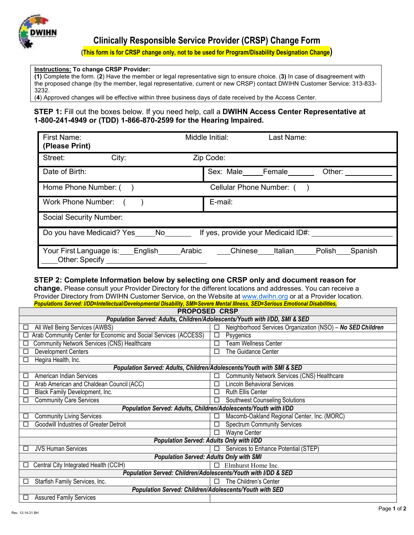

**(This form is for CRSP change only, not to be used for Program/Disability Designation Change)**

### **Instructions: To change CRSP Provider:**

**(1)** Complete the form. (**2**) Have the member or legal representative sign to ensure choice. (**3)** In case of disagreement with the proposed change (by the member, legal representative, current or new CRSP) contact DWIHN Customer Service: 313-833- 3232.

(**4**) Approved changes will be effective within three business days of date received by the Access Center.

# **STEP 1:** Fill out the boxes below. If you need help, call a **DWIHN Access Center Representative at 1-800-241-4949 or (TDD) 1-866-870-2599 for the Hearing Impaired.**

| <b>First Name:</b><br>(Please Print)                                   |        | Middle Initial: | Last Name:                |                   |  |
|------------------------------------------------------------------------|--------|-----------------|---------------------------|-------------------|--|
| City:<br>Street:                                                       |        | Zip Code:       |                           |                   |  |
| Date of Birth:                                                         |        |                 | Sex: Male Female          | Other:            |  |
| Home Phone Number: (                                                   |        |                 | Cellular Phone Number: () |                   |  |
| <b>Work Phone Number:</b>                                              |        | E-mail:         |                           |                   |  |
| <b>Social Security Number:</b>                                         |        |                 |                           |                   |  |
| Do you have Medicaid? Yes No<br>If yes, provide your Medicaid ID#: ___ |        |                 |                           |                   |  |
| Your First Language is: English<br>Other: Specify                      | Arabic | Chinese         | Italian                   | Polish<br>Spanish |  |

## **STEP 2: Complete Information below by selecting one CRSP only and document reason for**

**change.** Please consult your Provider Directory for the different locations and addresses. You can receive a Provider Directory from DWIHN Customer Service, on the Website at [www.dwihn.org](http://www.dwihn.org/) or at a Provider location. *Populations Served: I/DD=Intellectual/Developmental Disability, SMI=Severe Mental Illness, SED=Serious Emotional Disabilities,*

#### **PROPOSED CRSP**

| rnurujcu vnjr                                                              |                                                                 |  |  |  |  |  |  |
|----------------------------------------------------------------------------|-----------------------------------------------------------------|--|--|--|--|--|--|
| Population Served: Adults, Children/Adolescents/Youth with I/DD, SMI & SED |                                                                 |  |  |  |  |  |  |
| All Well Being Services (AWBS)<br>⊔                                        | Neighborhood Services Organization (NSO) - No SED Children<br>□ |  |  |  |  |  |  |
| Arab Community Center for Economic and Social Services (ACCESS)            | Psygenics<br>□                                                  |  |  |  |  |  |  |
| Community Network Services (CNS) Healthcare                                | <b>Team Wellness Center</b><br>П                                |  |  |  |  |  |  |
| <b>Development Centers</b>                                                 | The Guidance Center<br>Ш                                        |  |  |  |  |  |  |
| Hegira Health, Inc.                                                        |                                                                 |  |  |  |  |  |  |
| Population Served: Adults, Children/Adolescents/Youth with SMI & SED       |                                                                 |  |  |  |  |  |  |
| American Indian Services<br>⊔                                              | Community Network Services (CNS) Healthcare                     |  |  |  |  |  |  |
| Arab American and Chaldean Council (ACC)<br>⊔                              | <b>Lincoln Behavioral Services</b><br>□                         |  |  |  |  |  |  |
| Black Family Development, Inc.                                             | Ruth Ellis Center<br>L                                          |  |  |  |  |  |  |
| <b>Community Care Services</b>                                             | <b>Southwest Counseling Solutions</b><br>П                      |  |  |  |  |  |  |
| Population Served: Adults, Children/Adolescents/Youth with I/DD            |                                                                 |  |  |  |  |  |  |
| <b>Community Living Services</b>                                           | Macomb-Oakland Regional Center, Inc. (MORC)                     |  |  |  |  |  |  |
| Goodwill Industries of Greater Detroit                                     | <b>Spectrum Community Services</b><br>П                         |  |  |  |  |  |  |
|                                                                            | <b>Wayne Center</b><br>П                                        |  |  |  |  |  |  |
| Population Served: Adults Only with I/DD                                   |                                                                 |  |  |  |  |  |  |
| <b>JVS Human Services</b>                                                  | Services to Enhance Potential (STEP)<br>□                       |  |  |  |  |  |  |
| <b>Population Served: Adults Only with SMI</b>                             |                                                                 |  |  |  |  |  |  |
| Central City Integrated Health (CCIH)                                      | Elmhurst Home Inc.<br>$\Box$                                    |  |  |  |  |  |  |
| Population Served: Children/Adolescents/Youth with I/DD & SED              |                                                                 |  |  |  |  |  |  |
| Starfish Family Services, Inc.<br>□                                        | The Children's Center<br>□                                      |  |  |  |  |  |  |
| Population Served: Children/Adolescents/Youth with SED                     |                                                                 |  |  |  |  |  |  |
| <b>Assured Family Services</b><br>$\Box$                                   |                                                                 |  |  |  |  |  |  |